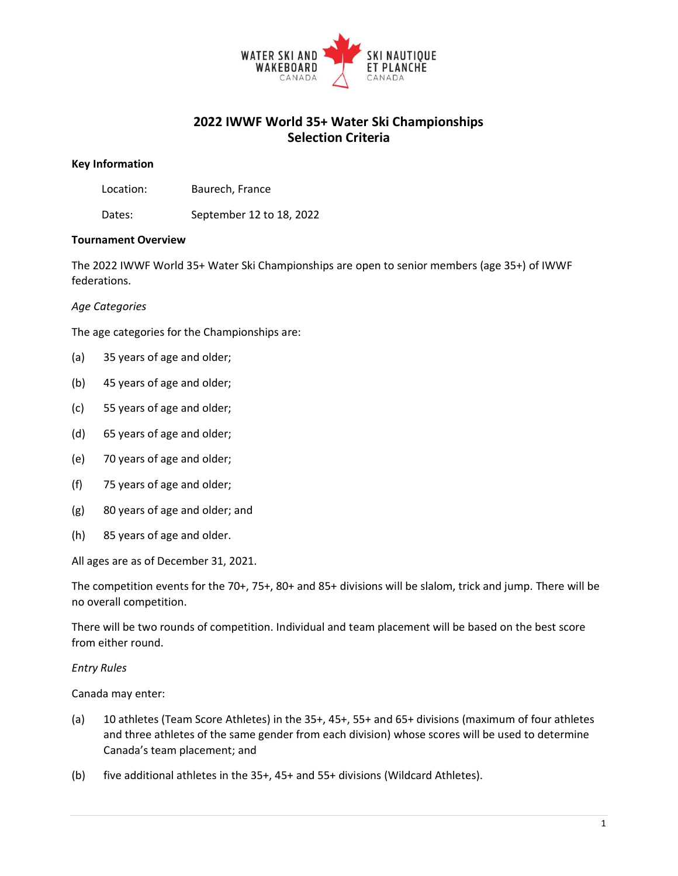

## **2022 IWWF World 35+ Water Ski Championships Selection Criteria**

#### **Key Information**

Dates: September 12 to 18, 2022

## **Tournament Overview**

The 2022 IWWF World 35+ Water Ski Championships are open to senior members (age 35+) of IWWF federations.

#### *Age Categories*

The age categories for the Championships are:

- (a) 35 years of age and older;
- (b) 45 years of age and older;
- (c) 55 years of age and older;
- (d) 65 years of age and older;
- (e) 70 years of age and older;
- (f) 75 years of age and older;
- (g) 80 years of age and older; and
- (h) 85 years of age and older.

All ages are as of December 31, 2021.

The competition events for the 70+, 75+, 80+ and 85+ divisions will be slalom, trick and jump. There will be no overall competition.

There will be two rounds of competition. Individual and team placement will be based on the best score from either round.

#### *Entry Rules*

Canada may enter:

- (a) 10 athletes (Team Score Athletes) in the 35+, 45+, 55+ and 65+ divisions (maximum of four athletes and three athletes of the same gender from each division) whose scores will be used to determine Canada's team placement; and
- (b) five additional athletes in the 35+, 45+ and 55+ divisions (Wildcard Athletes).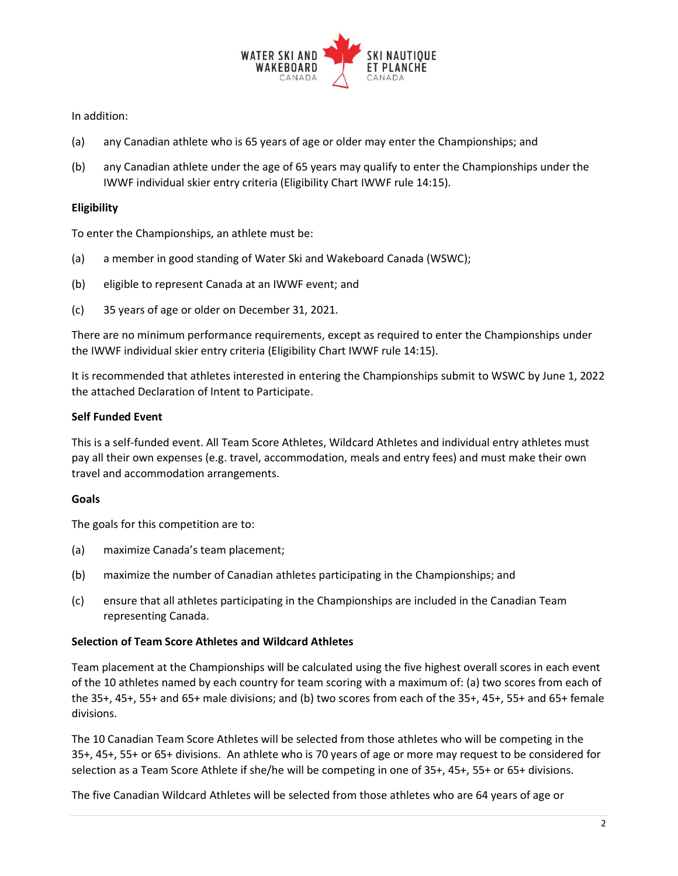

## In addition:

- (a) any Canadian athlete who is 65 years of age or older may enter the Championships; and
- (b) any Canadian athlete under the age of 65 years may qualify to enter the Championships under the IWWF individual skier entry criteria (Eligibility Chart IWWF rule 14:15).

## **Eligibility**

To enter the Championships, an athlete must be:

- (a) a member in good standing of Water Ski and Wakeboard Canada (WSWC);
- (b) eligible to represent Canada at an IWWF event; and
- (c) 35 years of age or older on December 31, 2021.

There are no minimum performance requirements, except as required to enter the Championships under the IWWF individual skier entry criteria (Eligibility Chart IWWF rule 14:15).

It is recommended that athletes interested in entering the Championships submit to WSWC by June 1, 2022 the attached Declaration of Intent to Participate.

## **Self Funded Event**

This is a self-funded event. All Team Score Athletes, Wildcard Athletes and individual entry athletes must pay all their own expenses (e.g. travel, accommodation, meals and entry fees) and must make their own travel and accommodation arrangements.

## **Goals**

The goals for this competition are to:

- (a) maximize Canada's team placement;
- (b) maximize the number of Canadian athletes participating in the Championships; and
- (c) ensure that all athletes participating in the Championships are included in the Canadian Team representing Canada.

## **Selection of Team Score Athletes and Wildcard Athletes**

Team placement at the Championships will be calculated using the five highest overall scores in each event of the 10 athletes named by each country for team scoring with a maximum of: (a) two scores from each of the 35+, 45+, 55+ and 65+ male divisions; and (b) two scores from each of the 35+, 45+, 55+ and 65+ female divisions.

The 10 Canadian Team Score Athletes will be selected from those athletes who will be competing in the 35+, 45+, 55+ or 65+ divisions. An athlete who is 70 years of age or more may request to be considered for selection as a Team Score Athlete if she/he will be competing in one of 35+, 45+, 55+ or 65+ divisions.

The five Canadian Wildcard Athletes will be selected from those athletes who are 64 years of age or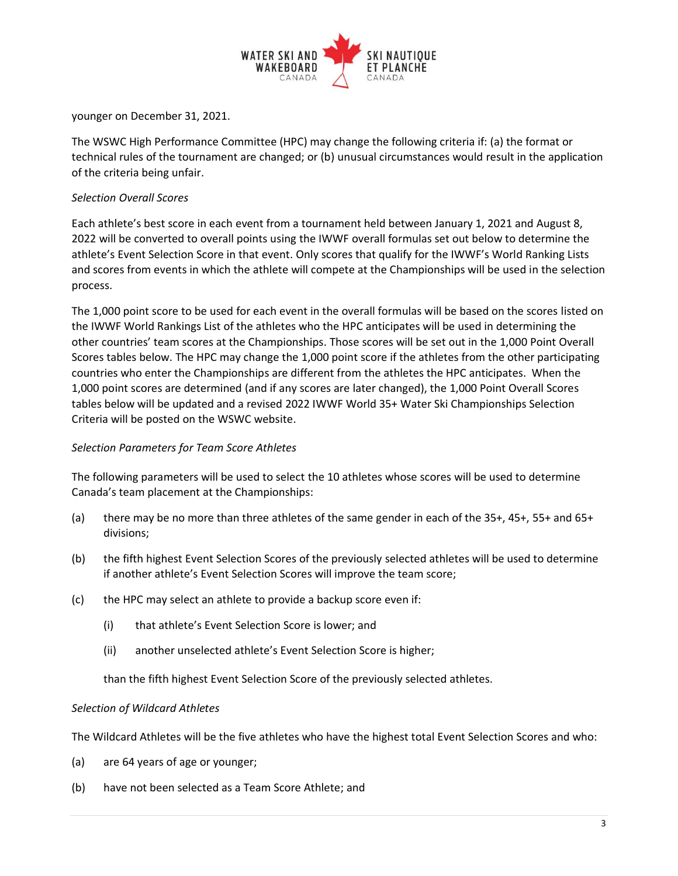

younger on December 31, 2021.

The WSWC High Performance Committee (HPC) may change the following criteria if: (a) the format or technical rules of the tournament are changed; or (b) unusual circumstances would result in the application of the criteria being unfair.

## *Selection Overall Scores*

Each athlete's best score in each event from a tournament held between January 1, 2021 and August 8, 2022 will be converted to overall points using the IWWF overall formulas set out below to determine the athlete's Event Selection Score in that event. Only scores that qualify for the IWWF's World Ranking Lists and scores from events in which the athlete will compete at the Championships will be used in the selection process.

The 1,000 point score to be used for each event in the overall formulas will be based on the scores listed on the IWWF World Rankings List of the athletes who the HPC anticipates will be used in determining the other countries' team scores at the Championships. Those scores will be set out in the 1,000 Point Overall Scores tables below. The HPC may change the 1,000 point score if the athletes from the other participating countries who enter the Championships are different from the athletes the HPC anticipates. When the 1,000 point scores are determined (and if any scores are later changed), the 1,000 Point Overall Scores tables below will be updated and a revised 2022 IWWF World 35+ Water Ski Championships Selection Criteria will be posted on the WSWC website.

## *Selection Parameters for Team Score Athletes*

The following parameters will be used to select the 10 athletes whose scores will be used to determine Canada's team placement at the Championships:

- (a) there may be no more than three athletes of the same gender in each of the 35+, 45+, 55+ and 65+ divisions;
- (b) the fifth highest Event Selection Scores of the previously selected athletes will be used to determine if another athlete's Event Selection Scores will improve the team score;
- (c) the HPC may select an athlete to provide a backup score even if:
	- (i) that athlete's Event Selection Score is lower; and
	- (ii) another unselected athlete's Event Selection Score is higher;

than the fifth highest Event Selection Score of the previously selected athletes.

## *Selection of Wildcard Athletes*

The Wildcard Athletes will be the five athletes who have the highest total Event Selection Scores and who:

- (a) are 64 years of age or younger;
- (b) have not been selected as a Team Score Athlete; and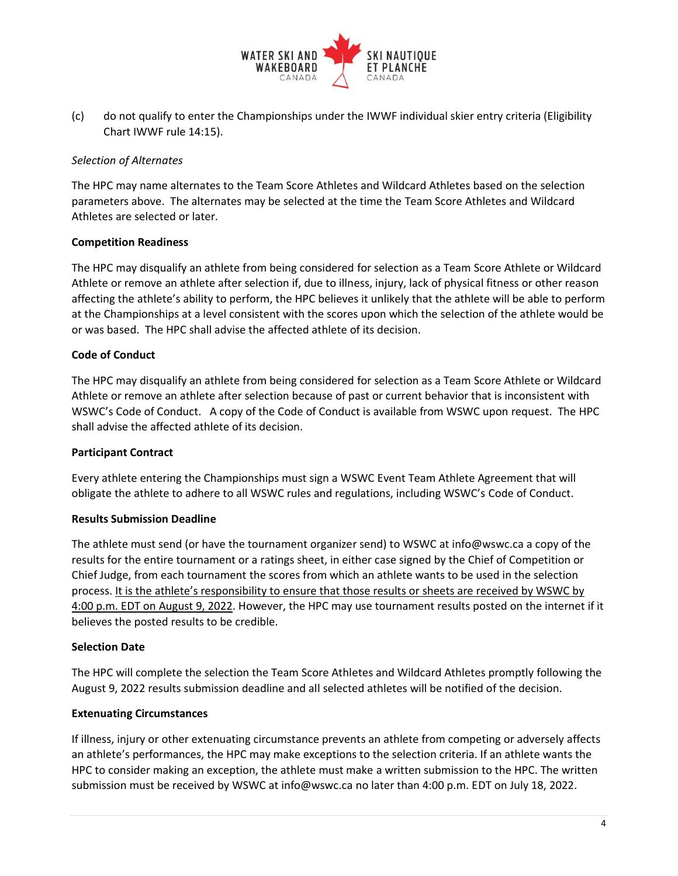

(c) do not qualify to enter the Championships under the IWWF individual skier entry criteria (Eligibility Chart IWWF rule 14:15).

## *Selection of Alternates*

The HPC may name alternates to the Team Score Athletes and Wildcard Athletes based on the selection parameters above. The alternates may be selected at the time the Team Score Athletes and Wildcard Athletes are selected or later.

## **Competition Readiness**

The HPC may disqualify an athlete from being considered for selection as a Team Score Athlete or Wildcard Athlete or remove an athlete after selection if, due to illness, injury, lack of physical fitness or other reason affecting the athlete's ability to perform, the HPC believes it unlikely that the athlete will be able to perform at the Championships at a level consistent with the scores upon which the selection of the athlete would be or was based. The HPC shall advise the affected athlete of its decision.

## **Code of Conduct**

The HPC may disqualify an athlete from being considered for selection as a Team Score Athlete or Wildcard Athlete or remove an athlete after selection because of past or current behavior that is inconsistent with WSWC's Code of Conduct. A copy of the Code of Conduct is available from WSWC upon request. The HPC shall advise the affected athlete of its decision.

## **Participant Contract**

Every athlete entering the Championships must sign a WSWC Event Team Athlete Agreement that will obligate the athlete to adhere to all WSWC rules and regulations, including WSWC's Code of Conduct.

## **Results Submission Deadline**

The athlete must send (or have the tournament organizer send) to WSWC at info@wswc.ca a copy of the results for the entire tournament or a ratings sheet, in either case signed by the Chief of Competition or Chief Judge, from each tournament the scores from which an athlete wants to be used in the selection process. It is the athlete's responsibility to ensure that those results or sheets are received by WSWC by 4:00 p.m. EDT on August 9, 2022. However, the HPC may use tournament results posted on the internet if it believes the posted results to be credible.

## **Selection Date**

The HPC will complete the selection the Team Score Athletes and Wildcard Athletes promptly following the August 9, 2022 results submission deadline and all selected athletes will be notified of the decision*.*

## **Extenuating Circumstances**

If illness, injury or other extenuating circumstance prevents an athlete from competing or adversely affects an athlete's performances, the HPC may make exceptions to the selection criteria. If an athlete wants the HPC to consider making an exception, the athlete must make a written submission to the HPC. The written submission must be received by WSWC at info@wswc.ca no later than 4:00 p.m. EDT on July 18, 2022.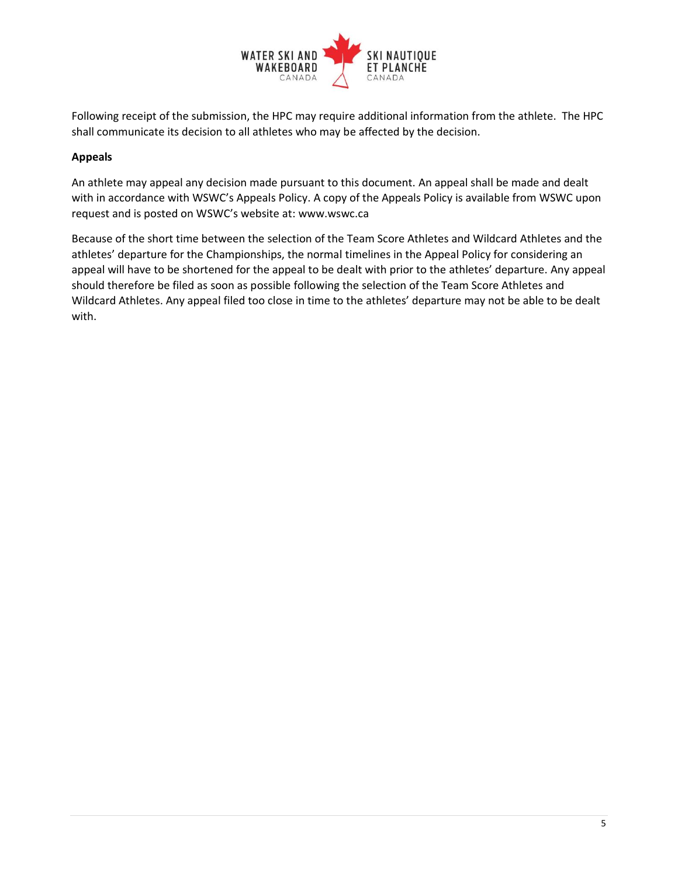

Following receipt of the submission, the HPC may require additional information from the athlete. The HPC shall communicate its decision to all athletes who may be affected by the decision.

## **Appeals**

An athlete may appeal any decision made pursuant to this document. An appeal shall be made and dealt with in accordance with WSWC's Appeals Policy. A copy of the Appeals Policy is available from WSWC upon request and is posted on WSWC's website at: www.wswc.ca

Because of the short time between the selection of the Team Score Athletes and Wildcard Athletes and the athletes' departure for the Championships, the normal timelines in the Appeal Policy for considering an appeal will have to be shortened for the appeal to be dealt with prior to the athletes' departure. Any appeal should therefore be filed as soon as possible following the selection of the Team Score Athletes and Wildcard Athletes. Any appeal filed too close in time to the athletes' departure may not be able to be dealt with.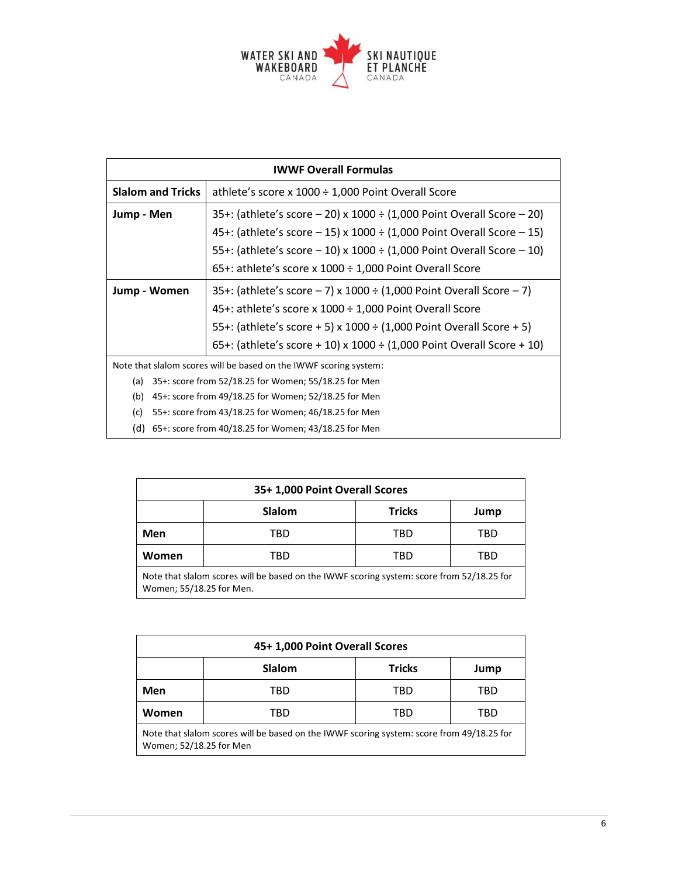

| <b>IWWF Overall Formulas</b>                                      |                                                                                |  |
|-------------------------------------------------------------------|--------------------------------------------------------------------------------|--|
| <b>Slalom and Tricks</b>                                          | athlete's score x $1000 \div 1,000$ Point Overall Score                        |  |
| Jump - Men                                                        | 35+: (athlete's score $-$ 20) x 1000 $\div$ (1,000 Point Overall Score $-$ 20) |  |
|                                                                   | 45+: (athlete's score $-15$ ) x 1000 ÷ (1,000 Point Overall Score $-15$ )      |  |
|                                                                   | 55+: (athlete's score $-10$ ) x 1000 ÷ (1,000 Point Overall Score $-10$ )      |  |
|                                                                   | 65+: athlete's score x 1000 $\div$ 1,000 Point Overall Score                   |  |
| Jump - Women                                                      | 35+: (athlete's score $-7$ ) x 1000 $\div$ (1,000 Point Overall Score $-7$ )   |  |
|                                                                   | 45+: athlete's score x 1000 ÷ 1,000 Point Overall Score                        |  |
|                                                                   | 55+: (athlete's score + 5) x 1000 $\div$ (1,000 Point Overall Score + 5)       |  |
|                                                                   | 65+: (athlete's score + 10) x 1000 $\div$ (1,000 Point Overall Score + 10)     |  |
| Note that slalom scores will be based on the IWWF scoring system: |                                                                                |  |
| (a) $35+$ : score from 52/18.25 for Women; 55/18.25 for Men       |                                                                                |  |

- (b) 45+: score from 49/18.25 for Women; 52/18.25 for Men
- (c) 55+: score from 43/18.25 for Women; 46/18.25 for Men
- (d) 65+: score from 40/18.25 for Women; 43/18.25 for Men

| 35+ 1,000 Point Overall Scores                                                                                        |               |               |      |
|-----------------------------------------------------------------------------------------------------------------------|---------------|---------------|------|
|                                                                                                                       | <b>Slalom</b> | <b>Tricks</b> | Jump |
| Men                                                                                                                   | TBD           | TBD           | TBD  |
| Women                                                                                                                 | TBD           | TBD           | TBD  |
| Note that slalom scores will be based on the IWWF scoring system: score from 52/18.25 for<br>Women; 55/18.25 for Men. |               |               |      |

| 45+ 1,000 Point Overall Scores                                                                                       |        |               |      |
|----------------------------------------------------------------------------------------------------------------------|--------|---------------|------|
|                                                                                                                      | Slalom | <b>Tricks</b> | Jump |
| Men                                                                                                                  | TBD    | TBD           | TBD  |
| Women                                                                                                                | TBD    | TBD           | TBD  |
| Note that slalom scores will be based on the IWWF scoring system: score from 49/18.25 for<br>Women; 52/18.25 for Men |        |               |      |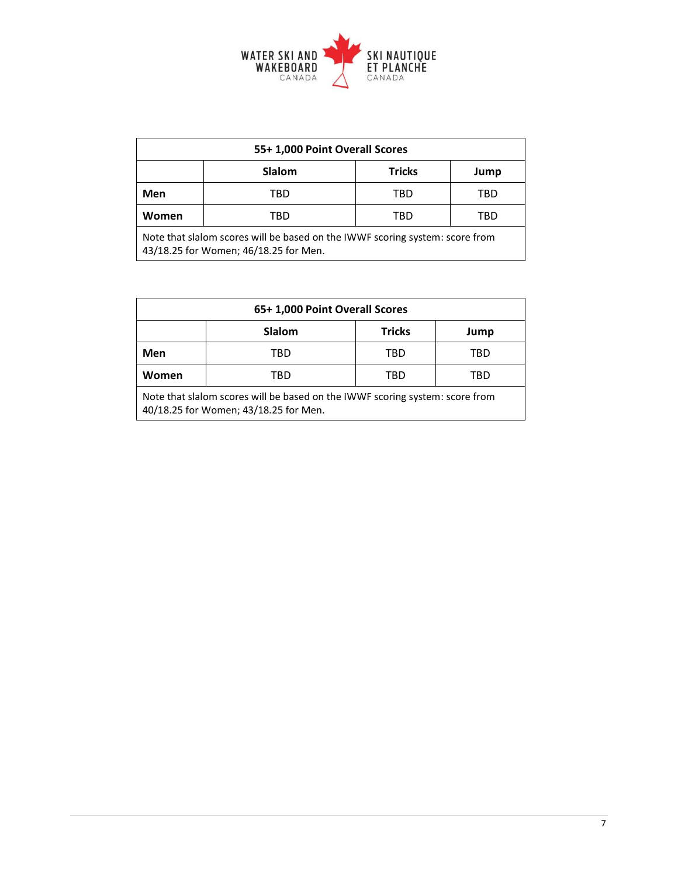

| 55+ 1,000 Point Overall Scores                                                                                        |        |               |      |
|-----------------------------------------------------------------------------------------------------------------------|--------|---------------|------|
|                                                                                                                       | Slalom | <b>Tricks</b> | Jump |
| Men                                                                                                                   | TBD    | TBD           | TBD  |
| Women                                                                                                                 | TBD    | TBD           | TBD  |
| Note that slalom scores will be based on the IWWF scoring system: score from<br>43/18.25 for Women; 46/18.25 for Men. |        |               |      |

| 65+1,000 Point Overall Scores                                                                                         |               |               |      |
|-----------------------------------------------------------------------------------------------------------------------|---------------|---------------|------|
|                                                                                                                       | <b>Slalom</b> | <b>Tricks</b> | Jump |
| Men                                                                                                                   | TBD           | TBD           | TBD  |
| Women                                                                                                                 | TBD           | TBD           | TBD  |
| Note that slalom scores will be based on the IWWF scoring system: score from<br>40/18.25 for Women; 43/18.25 for Men. |               |               |      |